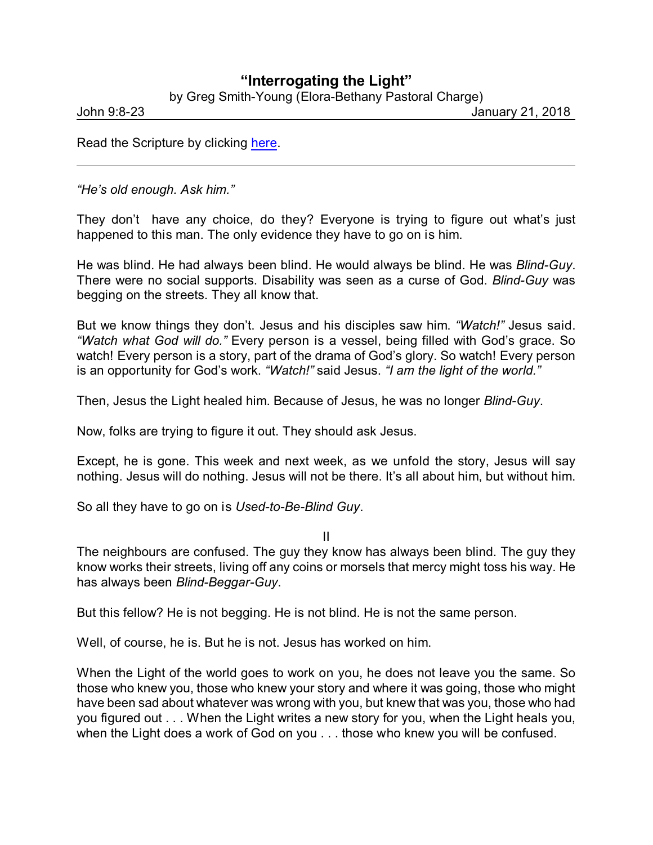## **"Interrogating the Light"**

by Greg Smith-Young (Elora-Bethany Pastoral Charge)

John 9:8-23 January 21, 2018

Read the Scripture by clicking [here](https://www.biblegateway.com/passage/?search=John+9%3A8-23&version=CEB).

*"He's old enough. Ask him."*

They don't have any choice, do they? Everyone is trying to figure out what's just happened to this man. The only evidence they have to go on is him.

He was blind. He had always been blind. He would always be blind. He was *Blind-Guy*. There were no social supports. Disability was seen as a curse of God. *Blind-Guy* was begging on the streets. They all know that.

But we know things they don't. Jesus and his disciples saw him. *"Watch!"* Jesus said. *"Watch what God will do."* Every person is a vessel, being filled with God's grace. So watch! Every person is a story, part of the drama of God's glory. So watch! Every person is an opportunity for God's work. *"Watch!"* said Jesus. *"I am the light of the world."*

Then, Jesus the Light healed him. Because of Jesus, he was no longer *Blind-Guy*.

Now, folks are trying to figure it out. They should ask Jesus.

Except, he is gone. This week and next week, as we unfold the story, Jesus will say nothing. Jesus will do nothing. Jesus will not be there. It's all about him, but without him.

So all they have to go on is *Used-to-Be-Blind Guy*.

II

The neighbours are confused. The guy they know has always been blind. The guy they know works their streets, living off any coins or morsels that mercy might toss his way. He has always been *Blind-Beggar-Guy*.

But this fellow? He is not begging. He is not blind. He is not the same person.

Well, of course, he is. But he is not. Jesus has worked on him.

When the Light of the world goes to work on you, he does not leave you the same. So those who knew you, those who knew your story and where it was going, those who might have been sad about whatever was wrong with you, but knew that was you, those who had you figured out . . . When the Light writes a new story for you, when the Light heals you, when the Light does a work of God on you . . . those who knew you will be confused.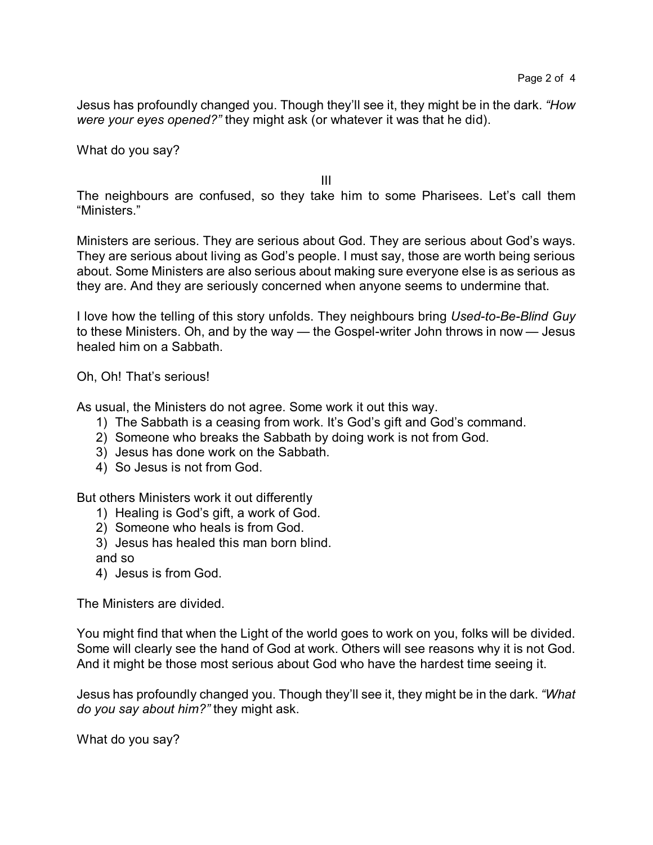Jesus has profoundly changed you. Though they'll see it, they might be in the dark. *"How were your eyes opened?"* they might ask (or whatever it was that he did).

What do you say?

III

The neighbours are confused, so they take him to some Pharisees. Let's call them "Ministers."

Ministers are serious. They are serious about God. They are serious about God's ways. They are serious about living as God's people. I must say, those are worth being serious about. Some Ministers are also serious about making sure everyone else is as serious as they are. And they are seriously concerned when anyone seems to undermine that.

I love how the telling of this story unfolds. They neighbours bring *Used-to-Be-Blind Guy* to these Ministers. Oh, and by the way — the Gospel-writer John throws in now — Jesus healed him on a Sabbath.

Oh, Oh! That's serious!

As usual, the Ministers do not agree. Some work it out this way.

- 1) The Sabbath is a ceasing from work. It's God's gift and God's command.
- 2) Someone who breaks the Sabbath by doing work is not from God.
- 3) Jesus has done work on the Sabbath.
- 4) So Jesus is not from God.

But others Ministers work it out differently

- 1) Healing is God's gift, a work of God.
- 2) Someone who heals is from God.
- 3) Jesus has healed this man born blind.
- and so
- 4) Jesus is from God.

The Ministers are divided.

You might find that when the Light of the world goes to work on you, folks will be divided. Some will clearly see the hand of God at work. Others will see reasons why it is not God. And it might be those most serious about God who have the hardest time seeing it.

Jesus has profoundly changed you. Though they'll see it, they might be in the dark. *"What do you say about him?"* they might ask.

What do you say?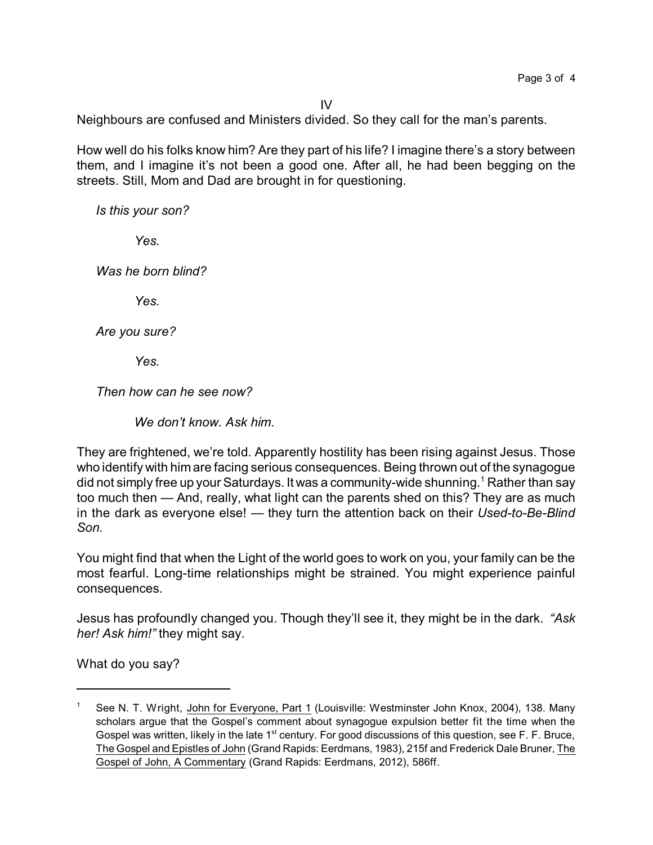IV

Neighbours are confused and Ministers divided. So they call for the man's parents.

How well do his folks know him? Are they part of his life? I imagine there's a story between them, and I imagine it's not been a good one. After all, he had been begging on the streets. Still, Mom and Dad are brought in for questioning.

*Is this your son?*

*Yes.*

*Was he born blind?*

*Yes.*

*Are you sure?*

*Yes.*

*Then how can he see now?*

*We don't know. Ask him.*

They are frightened, we're told. Apparently hostility has been rising against Jesus. Those who identify with him are facing serious consequences. Being thrown out of the synagogue did not simply free up your Saturdays. It was a community-wide shunning.<sup>1</sup> Rather than say too much then — And, really, what light can the parents shed on this? They are as much in the dark as everyone else! — they turn the attention back on their *Used-to-Be-Blind Son.*

You might find that when the Light of the world goes to work on you, your family can be the most fearful. Long-time relationships might be strained. You might experience painful consequences.

Jesus has profoundly changed you. Though they'll see it, they might be in the dark. *"Ask her! Ask him!"* they might say.

What do you say?

See N. T. Wright, John for Everyone, Part 1 (Louisville: Westminster John Knox, 2004), 138. Many scholars argue that the Gospel's comment about synagogue expulsion better fit the time when the Gospel was written, likely in the late 1<sup>st</sup> century. For good discussions of this question, see F. F. Bruce, The Gospel and Epistles of John (Grand Rapids: Eerdmans, 1983), 215f and Frederick Dale Bruner, The Gospel of John, A Commentary (Grand Rapids: Eerdmans, 2012), 586ff.